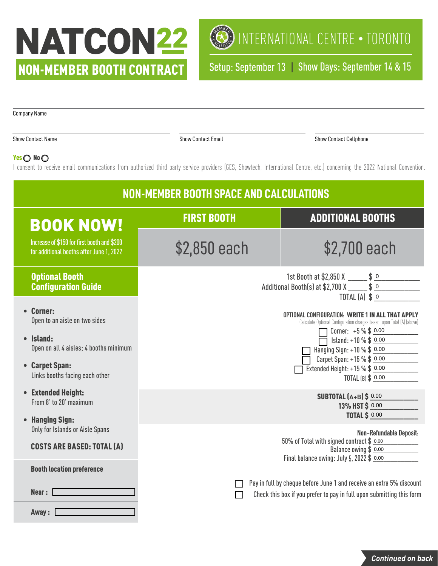# NATCON22 NON-MEMBER BOOTH CONTRACT

Company Name



Setup: September 13 | Show Days: September 14 & 15

| <b>NON-MEMBER BOOTH SPACE AND CALCULATIONS</b>                                                                              |                                                                                                                                                                                                                                            |                                                                                                                                            |  |  |  |
|-----------------------------------------------------------------------------------------------------------------------------|--------------------------------------------------------------------------------------------------------------------------------------------------------------------------------------------------------------------------------------------|--------------------------------------------------------------------------------------------------------------------------------------------|--|--|--|
| <b>BOOK NOW!</b>                                                                                                            | <b>FIRST BOOTH</b>                                                                                                                                                                                                                         | <b>ADDITIONAL BOOTHS</b>                                                                                                                   |  |  |  |
| Increase of \$150 for first booth and \$200<br>for additional booths after June 1, 2022                                     | \$2,850 each                                                                                                                                                                                                                               | \$2,700 each                                                                                                                               |  |  |  |
| <b>Optional Booth</b><br><b>Configuration Guide</b>                                                                         | 1st Booth at \$2,850 X _____ \$ _o<br>Additional Booth(s) at \$2,700 X $\frac{ }{ \_ \_ \_ \$ \_ 0 }$<br>TOTAL $(A)$ \$ o                                                                                                                  |                                                                                                                                            |  |  |  |
| • Corner:<br>Open to an aisle on two sides<br>$\bullet$ Island:<br>Open on all 4 aisles; 4 booths minimum<br>• Carpet Span: | OPTIONAL CONFIGURATION: WRITE 1 IN ALL THAT APPLY<br>Calculate Optional Configuration charges based upon Total (A) (above)<br>Corner: $+5\%$ \$ 0.00<br>Island: +10 % \$ 0.00<br>Hanging Sign: +10 % \$ 0.00<br>Carpet Span: +15 % \$ 0.00 |                                                                                                                                            |  |  |  |
| Links booths facing each other                                                                                              | Extended Height: $+15\%$ \$ 0.00<br>TOTAL (B) \$ 0.00                                                                                                                                                                                      |                                                                                                                                            |  |  |  |
| • Extended Height:<br>From 8' to 20' maximum<br>• Hanging Sign:                                                             | <b>SUBTOTAL (A+B) \$ 0.00</b><br>13% HST\$ 0.00<br><b>TOTAL \$ 0.00</b>                                                                                                                                                                    |                                                                                                                                            |  |  |  |
| Only for Islands or Aisle Spans<br><b>COSTS ARE BASED: TOTAL (A)</b>                                                        |                                                                                                                                                                                                                                            | Non-Refundable Deposit:<br>50% of Total with signed contract \$ 0.00<br>Balance owing \$ 0.00<br>Final balance owing: July 5, 2022 \$ 0.00 |  |  |  |

Show Contact Name Show Contact Email Show Contact Email Show Contact Email Show Contact Cellphone

*Continued on back*